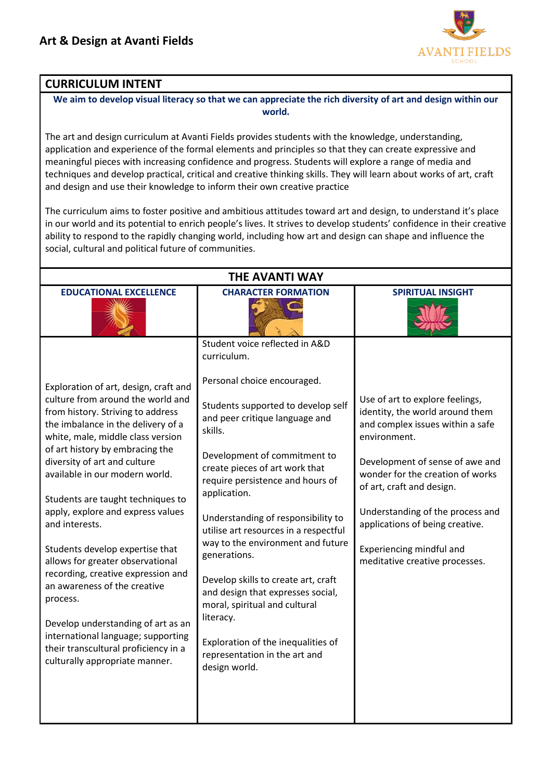

## **CURRICULUM INTENT**

**We aim to develop visual literacy so that we can appreciate the rich diversity of art and design within our world.**

The art and design curriculum at Avanti Fields provides students with the knowledge, understanding, application and experience of the formal elements and principles so that they can create expressive and meaningful pieces with increasing confidence and progress. Students will explore a range of media and techniques and develop practical, critical and creative thinking skills. They will learn about works of art, craft and design and use their knowledge to inform their own creative practice

The curriculum aims to foster positive and ambitious attitudes toward art and design, to understand it's place in our world and its potential to enrich people's lives. It strives to develop students' confidence in their creative ability to respond to the rapidly changing world, including how art and design can shape and influence the social, cultural and political future of communities.

| <b>THE AVANTI WAY</b>                                                                                                                                                                                                                                                                                                                                                                                                                                                                                                                                                                                                                                                                                      |                                                                                                                                                                                                                                                                                                                                                                                                                                                                                                                                                                                                                                             |                                                                                                                                                                                                                                                                                                                                                                 |  |  |  |  |
|------------------------------------------------------------------------------------------------------------------------------------------------------------------------------------------------------------------------------------------------------------------------------------------------------------------------------------------------------------------------------------------------------------------------------------------------------------------------------------------------------------------------------------------------------------------------------------------------------------------------------------------------------------------------------------------------------------|---------------------------------------------------------------------------------------------------------------------------------------------------------------------------------------------------------------------------------------------------------------------------------------------------------------------------------------------------------------------------------------------------------------------------------------------------------------------------------------------------------------------------------------------------------------------------------------------------------------------------------------------|-----------------------------------------------------------------------------------------------------------------------------------------------------------------------------------------------------------------------------------------------------------------------------------------------------------------------------------------------------------------|--|--|--|--|
| <b>EDUCATIONAL EXCELLENCE</b>                                                                                                                                                                                                                                                                                                                                                                                                                                                                                                                                                                                                                                                                              | <b>CHARACTER FORMATION</b>                                                                                                                                                                                                                                                                                                                                                                                                                                                                                                                                                                                                                  | <b>SPIRITUAL INSIGHT</b>                                                                                                                                                                                                                                                                                                                                        |  |  |  |  |
| Exploration of art, design, craft and<br>culture from around the world and<br>from history. Striving to address<br>the imbalance in the delivery of a<br>white, male, middle class version<br>of art history by embracing the<br>diversity of art and culture<br>available in our modern world.<br>Students are taught techniques to<br>apply, explore and express values<br>and interests.<br>Students develop expertise that<br>allows for greater observational<br>recording, creative expression and<br>an awareness of the creative<br>process.<br>Develop understanding of art as an<br>international language; supporting<br>their transcultural proficiency in a<br>culturally appropriate manner. | Student voice reflected in A&D<br>curriculum.<br>Personal choice encouraged.<br>Students supported to develop self<br>and peer critique language and<br>skills.<br>Development of commitment to<br>create pieces of art work that<br>require persistence and hours of<br>application.<br>Understanding of responsibility to<br>utilise art resources in a respectful<br>way to the environment and future<br>generations.<br>Develop skills to create art, craft<br>and design that expresses social,<br>moral, spiritual and cultural<br>literacy.<br>Exploration of the inequalities of<br>representation in the art and<br>design world. | Use of art to explore feelings,<br>identity, the world around them<br>and complex issues within a safe<br>environment.<br>Development of sense of awe and<br>wonder for the creation of works<br>of art, craft and design.<br>Understanding of the process and<br>applications of being creative.<br>Experiencing mindful and<br>meditative creative processes. |  |  |  |  |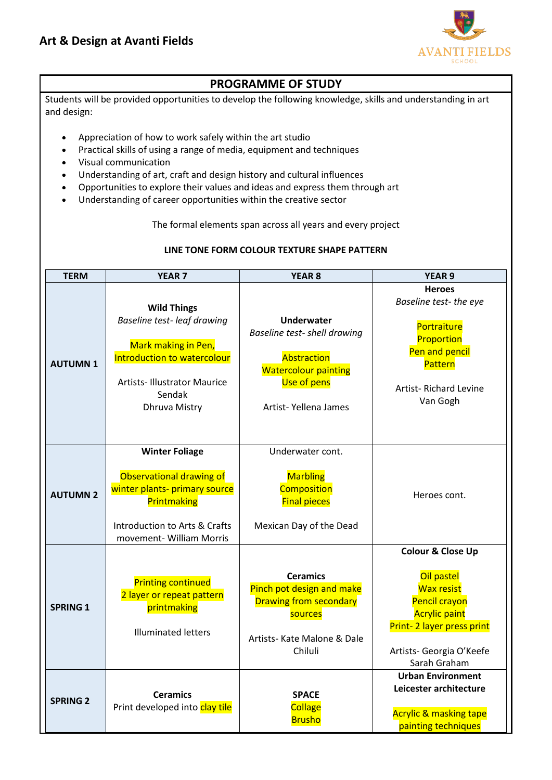

## **PROGRAMME OF STUDY**

Students will be provided opportunities to develop the following knowledge, skills and understanding in art and design:

- Appreciation of how to work safely within the art studio
- Practical skills of using a range of media, equipment and techniques
- Visual communication
- Understanding of art, craft and design history and cultural influences
- Opportunities to explore their values and ideas and express them through art
- Understanding of career opportunities within the creative sector

The formal elements span across all years and every project

#### **LINE TONE FORM COLOUR TEXTURE SHAPE PATTERN**

| <b>TERM</b>     | <b>YEAR 7</b>                                                                                                                                                                  | <b>YEAR 8</b>                                                                                                                          | <b>YEAR 9</b>                                                                                                                                                                     |
|-----------------|--------------------------------------------------------------------------------------------------------------------------------------------------------------------------------|----------------------------------------------------------------------------------------------------------------------------------------|-----------------------------------------------------------------------------------------------------------------------------------------------------------------------------------|
| <b>AUTUMN1</b>  | <b>Wild Things</b><br>Baseline test-leaf drawing<br>Mark making in Pen,<br>Introduction to watercolour<br><b>Artists-Illustrator Maurice</b><br>Sendak<br><b>Dhruva Mistry</b> | <b>Underwater</b><br>Baseline test- shell drawing<br>Abstraction<br><b>Watercolour painting</b><br>Use of pens<br>Artist-Yellena James | <b>Heroes</b><br>Baseline test- the eye<br>Portraiture<br>Proportion<br>Pen and pencil<br>Pattern<br>Artist-Richard Levine<br>Van Gogh                                            |
| <b>AUTUMN 2</b> | <b>Winter Foliage</b><br>Observational drawing of<br>winter plants- primary source<br>Printmaking<br>Introduction to Arts & Crafts<br>movement- William Morris                 | Underwater cont.<br><b>Marbling</b><br>Composition<br><b>Final pieces</b><br>Mexican Day of the Dead                                   | Heroes cont.                                                                                                                                                                      |
| <b>SPRING 1</b> | <b>Printing continued</b><br>2 layer or repeat pattern<br>printmaking<br><b>Illuminated letters</b>                                                                            | <b>Ceramics</b><br>Pinch pot design and make<br><b>Drawing from secondary</b><br>sources<br>Artists- Kate Malone & Dale<br>Chiluli     | <b>Colour &amp; Close Up</b><br>Oil pastel<br><b>Wax resist</b><br>Pencil crayon<br><b>Acrylic paint</b><br>Print-2 layer press print<br>Artists- Georgia O'Keefe<br>Sarah Graham |
| <b>SPRING 2</b> | <b>Ceramics</b><br>Print developed into clay tile                                                                                                                              | <b>SPACE</b><br><b>Collage</b><br><b>Brusho</b>                                                                                        | <b>Urban Environment</b><br>Leicester architecture<br><b>Acrylic &amp; masking tape</b><br>painting techniques                                                                    |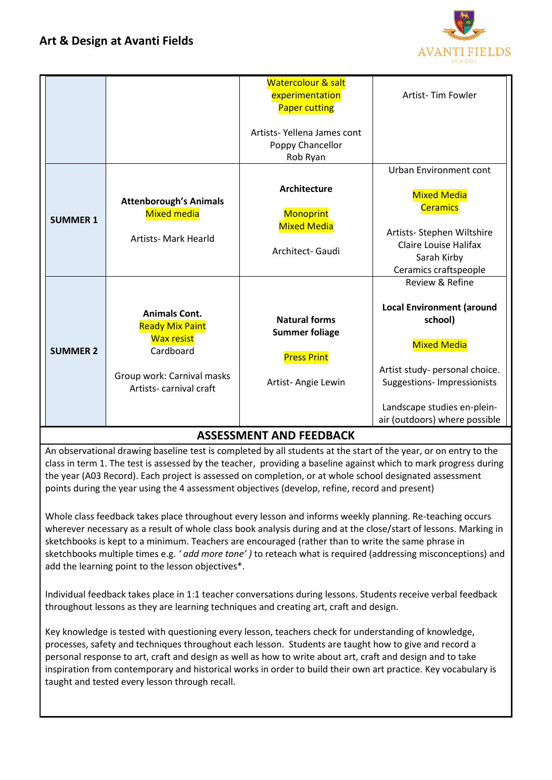

|                                |                                                                                                                                          | <b>Watercolour &amp; salt</b><br>experimentation                                          | Artist-Tim Fowler                                                                                                                                                                                                            |  |  |
|--------------------------------|------------------------------------------------------------------------------------------------------------------------------------------|-------------------------------------------------------------------------------------------|------------------------------------------------------------------------------------------------------------------------------------------------------------------------------------------------------------------------------|--|--|
|                                |                                                                                                                                          | <b>Paper cutting</b><br>Artists-Yellena James cont<br>Poppy Chancellor<br>Rob Ryan        | Urban Environment cont                                                                                                                                                                                                       |  |  |
| <b>SUMMER 1</b>                | <b>Attenborough's Animals</b><br><b>Mixed media</b><br><b>Artists- Mark Hearld</b>                                                       | <b>Architecture</b><br>Monoprint<br><b>Mixed Media</b><br>Architect- Gaudi                | <b>Mixed Media</b><br><b>Ceramics</b><br>Artists- Stephen Wiltshire<br><b>Claire Louise Halifax</b><br>Sarah Kirby<br>Ceramics craftspeople                                                                                  |  |  |
| <b>SUMMER 2</b>                | <b>Animals Cont.</b><br><b>Ready Mix Paint</b><br><b>Wax resist</b><br>Cardboard<br>Group work: Carnival masks<br>Artists-carnival craft | <b>Natural forms</b><br><b>Summer foliage</b><br><b>Press Print</b><br>Artist-Angie Lewin | Review & Refine<br><b>Local Environment (around</b><br>school)<br><b>Mixed Media</b><br>Artist study- personal choice.<br><b>Suggestions- Impressionists</b><br>Landscape studies en-plein-<br>air (outdoors) where possible |  |  |
| <b>ASSESSMENT AND FEEDBACK</b> |                                                                                                                                          |                                                                                           |                                                                                                                                                                                                                              |  |  |

An observational drawing baseline test is completed by all students at the start of the year, or on entry to the class in term 1. The test is assessed by the teacher, providing a baseline against which to mark progress during the year (A03 Record). Each project is assessed on completion, or at whole school designated assessment points during the year using the 4 assessment objectives (develop, refine, record and present)

Whole class feedback takes place throughout every lesson and informs weekly planning. Re-teaching occurs wherever necessary as a result of whole class book analysis during and at the close/start of lessons. Marking in sketchbooks is kept to a minimum. Teachers are encouraged (rather than to write the same phrase in sketchbooks multiple times e.g. *' add more tone' )* to reteach what is required (addressing misconceptions) and add the learning point to the lesson objectives\*.

Individual feedback takes place in 1:1 teacher conversations during lessons. Students receive verbal feedback throughout lessons as they are learning techniques and creating art, craft and design.

Key knowledge is tested with questioning every lesson, teachers check for understanding of knowledge, processes, safety and techniques throughout each lesson. Students are taught how to give and record a personal response to art, craft and design as well as how to write about art, craft and design and to take inspiration from contemporary and historical works in order to build their own art practice. Key vocabulary is taught and tested every lesson through recall.